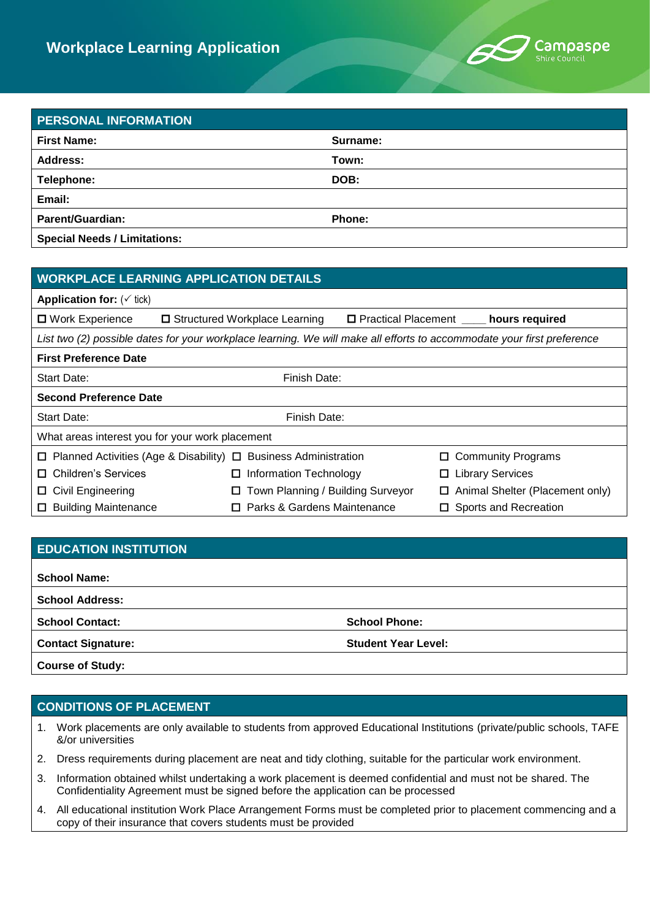

## **PERSONAL INFORMATION First Name: Surname: Address: Town: Telephone: DOB: Email: Parent/Guardian: Phone: Special Needs / Limitations:**

| <b>WORKPLACE LEARNING APPLICATION DETAILS</b>                                                                          |                                        |                                            |                                 |  |
|------------------------------------------------------------------------------------------------------------------------|----------------------------------------|--------------------------------------------|---------------------------------|--|
| <b>Application for:</b> $(\check{ }$ tick)                                                                             |                                        |                                            |                                 |  |
| □ Work Experience                                                                                                      | □ Structured Workplace Learning        | □ Practical Placement _____ hours required |                                 |  |
| List two (2) possible dates for your workplace learning. We will make all efforts to accommodate your first preference |                                        |                                            |                                 |  |
| <b>First Preference Date</b>                                                                                           |                                        |                                            |                                 |  |
| Start Date:                                                                                                            | Finish Date:                           |                                            |                                 |  |
| <b>Second Preference Date</b>                                                                                          |                                        |                                            |                                 |  |
| Start Date:                                                                                                            | Finish Date:                           |                                            |                                 |  |
| What areas interest you for your work placement                                                                        |                                        |                                            |                                 |  |
| $\Box$ Planned Activities (Age & Disability) $\Box$ Business Administration                                            |                                        |                                            | <b>Community Programs</b>       |  |
| □ Children's Services                                                                                                  | $\Box$ Information Technology          |                                            | $\Box$ Library Services         |  |
| $\Box$ Civil Engineering                                                                                               | Town Planning / Building Surveyor<br>ш | □                                          | Animal Shelter (Placement only) |  |
| □ Building Maintenance                                                                                                 | □ Parks & Gardens Maintenance          |                                            | $\Box$ Sports and Recreation    |  |

# **EDUCATION INSTITUTION School Name: School Address: School Contact: School Phone: Contact Signature: Student Year Level: Course of Study:**

## **CONDITIONS OF PLACEMENT**

- 1. Work placements are only available to students from approved Educational Institutions (private/public schools, TAFE &/or universities
- 2. Dress requirements during placement are neat and tidy clothing, suitable for the particular work environment.
- 3. Information obtained whilst undertaking a work placement is deemed confidential and must not be shared. The Confidentiality Agreement must be signed before the application can be processed
- 4. All educational institution Work Place Arrangement Forms must be completed prior to placement commencing and a copy of their insurance that covers students must be provided